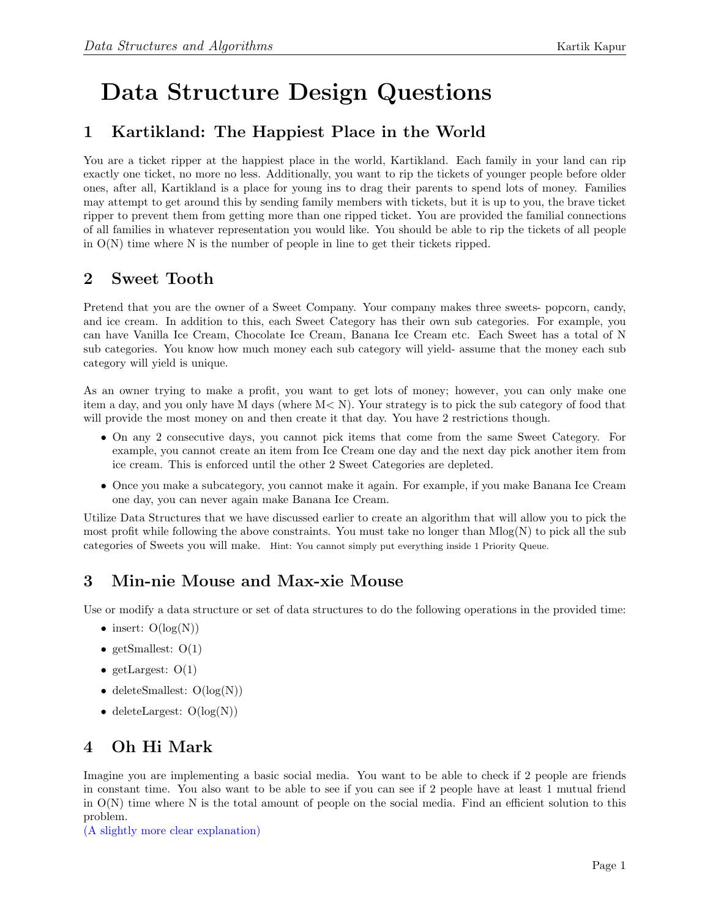# Data Structure Design Questions

## 1 Kartikland: The Happiest Place in the World

You are a ticket ripper at the happiest place in the world, Kartikland. Each family in your land can rip exactly one ticket, no more no less. Additionally, you want to rip the tickets of younger people before older ones, after all, Kartikland is a place for young ins to drag their parents to spend lots of money. Families may attempt to get around this by sending family members with tickets, but it is up to you, the brave ticket ripper to prevent them from getting more than one ripped ticket. You are provided the familial connections of all families in whatever representation you would like. You should be able to rip the tickets of all people in  $O(N)$  time where N is the number of people in line to get their tickets ripped.

## 2 Sweet Tooth

Pretend that you are the owner of a Sweet Company. Your company makes three sweets- popcorn, candy, and ice cream. In addition to this, each Sweet Category has their own sub categories. For example, you can have Vanilla Ice Cream, Chocolate Ice Cream, Banana Ice Cream etc. Each Sweet has a total of N sub categories. You know how much money each sub category will yield- assume that the money each sub category will yield is unique.

As an owner trying to make a profit, you want to get lots of money; however, you can only make one item a day, and you only have M days (where M< N). Your strategy is to pick the sub category of food that will provide the most money on and then create it that day. You have 2 restrictions though.

- On any 2 consecutive days, you cannot pick items that come from the same Sweet Category. For example, you cannot create an item from Ice Cream one day and the next day pick another item from ice cream. This is enforced until the other 2 Sweet Categories are depleted.
- Once you make a subcategory, you cannot make it again. For example, if you make Banana Ice Cream one day, you can never again make Banana Ice Cream.

Utilize Data Structures that we have discussed earlier to create an algorithm that will allow you to pick the most profit while following the above constraints. You must take no longer than  $M \log(N)$  to pick all the sub categories of Sweets you will make. Hint: You cannot simply put everything inside 1 Priority Queue.

## 3 Min-nie Mouse and Max-xie Mouse

Use or modify a data structure or set of data structures to do the following operations in the provided time:

- insert:  $O(log(N))$
- getSmallest:  $O(1)$
- getLargest:  $O(1)$
- deleteSmallest:  $O(log(N))$
- deleteLargest:  $O(log(N))$

# 4 Oh Hi Mark

Imagine you are implementing a basic social media. You want to be able to check if 2 people are friends in constant time. You also want to be able to see if you can see if 2 people have at least 1 mutual friend in O(N) time where N is the total amount of people on the social media. Find an efficient solution to this problem.

[\(A slightly more clear explanation\)]( https://www.youtube.com/watch?v=EfeacZ2fuS8)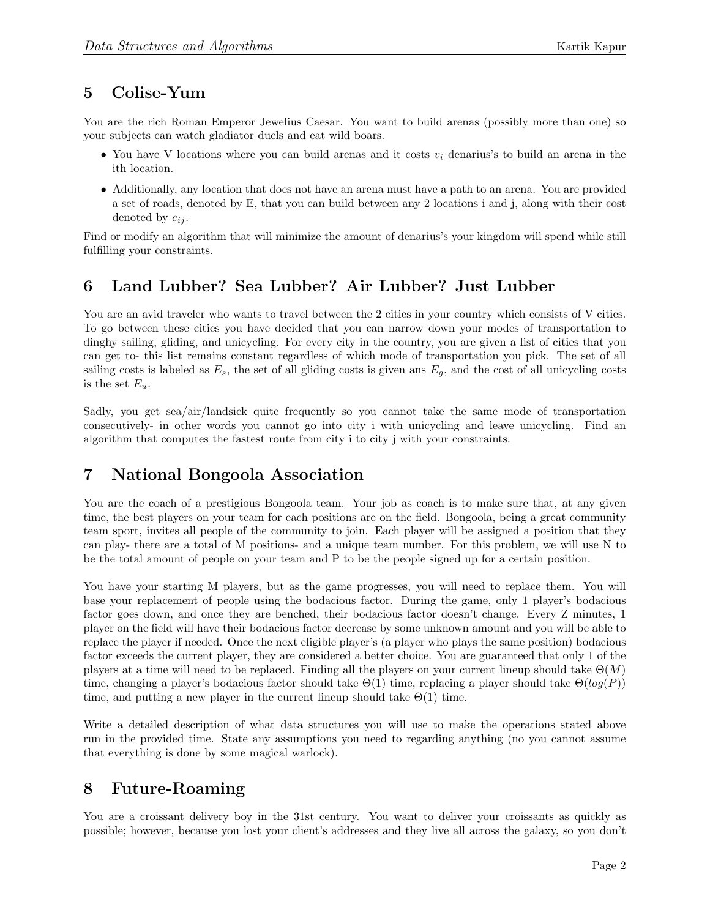#### 5 Colise-Yum

You are the rich Roman Emperor Jewelius Caesar. You want to build arenas (possibly more than one) so your subjects can watch gladiator duels and eat wild boars.

- You have V locations where you can build arenas and it costs  $v_i$  denarius's to build an arena in the ith location.
- Additionally, any location that does not have an arena must have a path to an arena. You are provided a set of roads, denoted by E, that you can build between any 2 locations i and j, along with their cost denoted by  $e_{ii}$ .

Find or modify an algorithm that will minimize the amount of denarius's your kingdom will spend while still fulfilling your constraints.

## 6 Land Lubber? Sea Lubber? Air Lubber? Just Lubber

You are an avid traveler who wants to travel between the 2 cities in your country which consists of V cities. To go between these cities you have decided that you can narrow down your modes of transportation to dinghy sailing, gliding, and unicycling. For every city in the country, you are given a list of cities that you can get to- this list remains constant regardless of which mode of transportation you pick. The set of all sailing costs is labeled as  $E_s$ , the set of all gliding costs is given ans  $E_g$ , and the cost of all unicycling costs is the set  $E_u$ .

Sadly, you get sea/air/landsick quite frequently so you cannot take the same mode of transportation consecutively- in other words you cannot go into city i with unicycling and leave unicycling. Find an algorithm that computes the fastest route from city i to city j with your constraints.

#### 7 National Bongoola Association

You are the coach of a prestigious Bongoola team. Your job as coach is to make sure that, at any given time, the best players on your team for each positions are on the field. Bongoola, being a great community team sport, invites all people of the community to join. Each player will be assigned a position that they can play- there are a total of M positions- and a unique team number. For this problem, we will use N to be the total amount of people on your team and P to be the people signed up for a certain position.

You have your starting M players, but as the game progresses, you will need to replace them. You will base your replacement of people using the bodacious factor. During the game, only 1 player's bodacious factor goes down, and once they are benched, their bodacious factor doesn't change. Every Z minutes, 1 player on the field will have their bodacious factor decrease by some unknown amount and you will be able to replace the player if needed. Once the next eligible player's (a player who plays the same position) bodacious factor exceeds the current player, they are considered a better choice. You are guaranteed that only 1 of the players at a time will need to be replaced. Finding all the players on your current lineup should take  $\Theta(M)$ time, changing a player's bodacious factor should take  $\Theta(1)$  time, replacing a player should take  $\Theta(log(P))$ time, and putting a new player in the current lineup should take  $\Theta(1)$  time.

Write a detailed description of what data structures you will use to make the operations stated above run in the provided time. State any assumptions you need to regarding anything (no you cannot assume that everything is done by some magical warlock).

#### 8 Future-Roaming

You are a croissant delivery boy in the 31st century. You want to deliver your croissants as quickly as possible; however, because you lost your client's addresses and they live all across the galaxy, so you don't